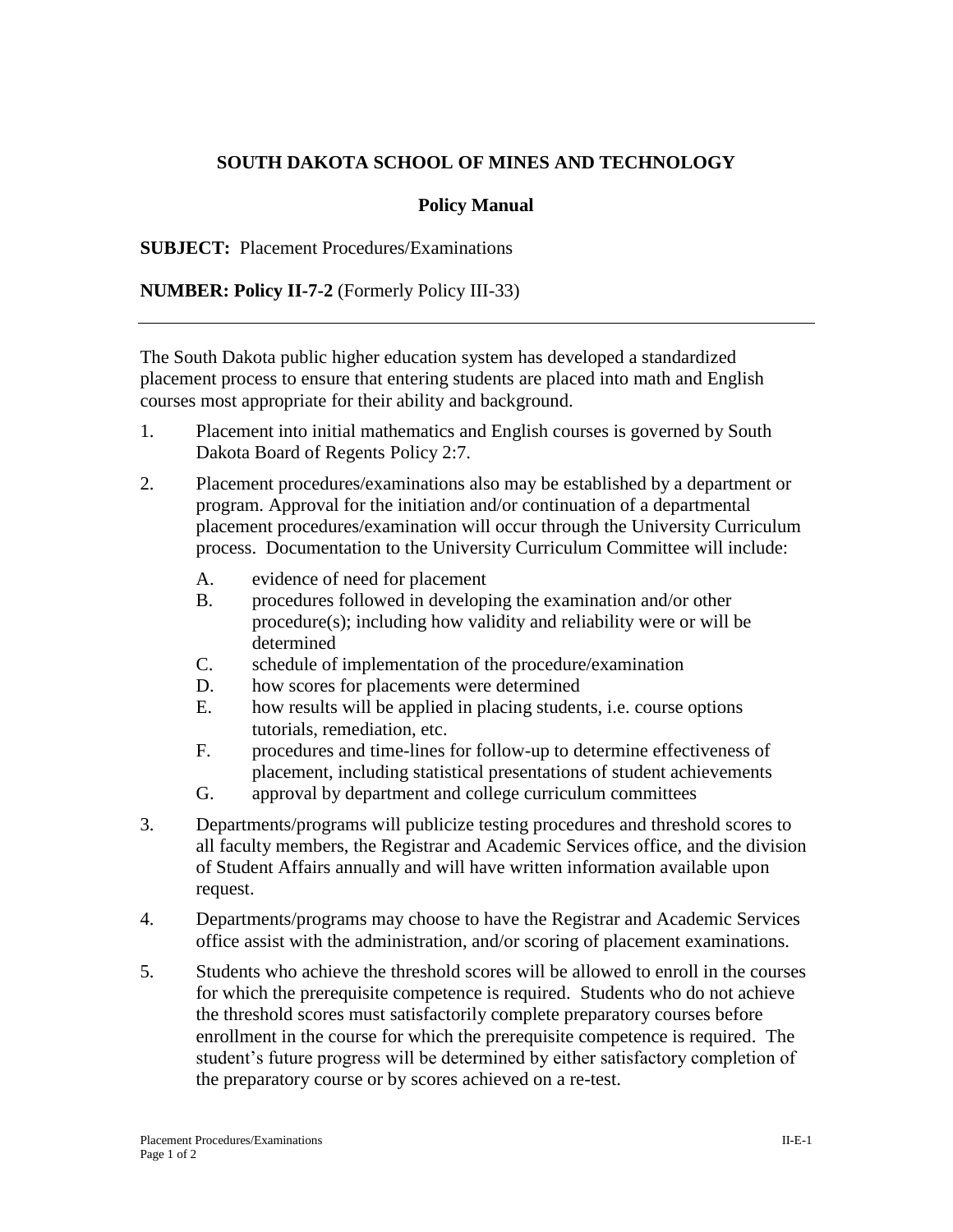## **SOUTH DAKOTA SCHOOL OF MINES AND TECHNOLOGY**

## **Policy Manual**

**SUBJECT:** Placement Procedures/Examinations

**NUMBER: Policy II-7-2** (Formerly Policy III-33)

The South Dakota public higher education system has developed a standardized placement process to ensure that entering students are placed into math and English courses most appropriate for their ability and background.

- 1. Placement into initial mathematics and English courses is governed by South Dakota Board of Regents Policy 2:7.
- 2. Placement procedures/examinations also may be established by a department or program. Approval for the initiation and/or continuation of a departmental placement procedures/examination will occur through the University Curriculum process. Documentation to the University Curriculum Committee will include:
	- A. evidence of need for placement
	- B. procedures followed in developing the examination and/or other procedure(s); including how validity and reliability were or will be determined
	- C. schedule of implementation of the procedure/examination
	- D. how scores for placements were determined
	- E. how results will be applied in placing students, i.e. course options tutorials, remediation, etc.
	- F. procedures and time-lines for follow-up to determine effectiveness of placement, including statistical presentations of student achievements
	- G. approval by department and college curriculum committees
- 3. Departments/programs will publicize testing procedures and threshold scores to all faculty members, the Registrar and Academic Services office, and the division of Student Affairs annually and will have written information available upon request.
- 4. Departments/programs may choose to have the Registrar and Academic Services office assist with the administration, and/or scoring of placement examinations.
- 5. Students who achieve the threshold scores will be allowed to enroll in the courses for which the prerequisite competence is required. Students who do not achieve the threshold scores must satisfactorily complete preparatory courses before enrollment in the course for which the prerequisite competence is required. The student's future progress will be determined by either satisfactory completion of the preparatory course or by scores achieved on a re-test.